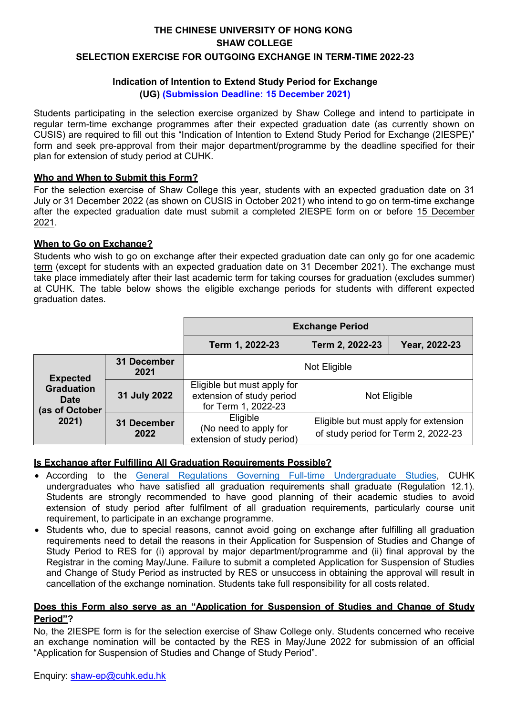# **THE CHINESE UNIVERSITY OF HONG KONG SHAW COLLEGE SELECTION EXERCISE FOR OUTGOING EXCHANGE IN TERM-TIME 2022-23**

### **Indication of Intention to Extend Study Period for Exchange (UG) (Submission Deadline: 15 December 2021)**

Students participating in the selection exercise organized by Shaw College and intend to participate in regular term-time exchange programmes after their expected graduation date (as currently shown on CUSIS) are required to fill out this "Indication of Intention to Extend Study Period for Exchange (2IESPE)" form and seek pre-approval from their major department/programme by the deadline specified for their plan for extension of study period at CUHK.

## **Who and When to Submit this Form?**

For the selection exercise of Shaw College this year, students with an expected graduation date on 31 July or 31 December 2022 (as shown on CUSIS in October 2021) who intend to go on term-time exchange after the expected graduation date must submit a completed 2IESPE form on or before 15 December 2021.

## **When to Go on Exchange?**

Students who wish to go on exchange after their expected graduation date can only go for one academic term (except for students with an expected graduation date on 31 December 2021). The exchange must take place immediately after their last academic term for taking courses for graduation (excludes summer) at CUHK. The table below shows the eligible exchange periods for students with different expected graduation dates.

|                                                                                |                     | <b>Exchange Period</b>                                                          |                                                                              |               |  |  |
|--------------------------------------------------------------------------------|---------------------|---------------------------------------------------------------------------------|------------------------------------------------------------------------------|---------------|--|--|
|                                                                                |                     | Term 1, 2022-23                                                                 | Term 2, 2022-23                                                              | Year, 2022-23 |  |  |
| <b>Expected</b><br><b>Graduation</b><br><b>Date</b><br>(as of October<br>2021) | 31 December<br>2021 | Not Eligible                                                                    |                                                                              |               |  |  |
|                                                                                | 31 July 2022        | Eligible but must apply for<br>extension of study period<br>for Term 1, 2022-23 | Not Eligible                                                                 |               |  |  |
|                                                                                | 31 December<br>2022 | Eligible<br>(No need to apply for<br>extension of study period)                 | Eligible but must apply for extension<br>of study period for Term 2, 2022-23 |               |  |  |

## **Is Exchange after Fulfilling All Graduation Requirements Possible?**

- According to the [General Regulations Governing Full-time Undergraduate Studies,](http://rgsntl.rgs.cuhk.edu.hk/aqs_prd_applx/Public/Handbook/Default.aspx?id=1543&tv=T&lang=en) CUHK undergraduates who have satisfied all graduation requirements shall graduate (Regulation 12.1). Students are strongly recommended to have good planning of their academic studies to avoid extension of study period after fulfilment of all graduation requirements, particularly course unit requirement, to participate in an exchange programme.
- Students who, due to special reasons, cannot avoid going on exchange after fulfilling all graduation requirements need to detail the reasons in their Application for Suspension of Studies and Change of Study Period to RES for (i) approval by major department/programme and (ii) final approval by the Registrar in the coming May/June. Failure to submit a completed Application for Suspension of Studies and Change of Study Period as instructed by RES or unsuccess in obtaining the approval will result in cancellation of the exchange nomination. Students take full responsibility for all costs related.

### **Does this Form also serve as an "Application for Suspension of Studies and Change of Study Period"?**

No, the 2IESPE form is for the selection exercise of Shaw College only. Students concerned who receive an exchange nomination will be contacted by the RES in May/June 2022 for submission of an official "Application for Suspension of Studies and Change of Study Period".